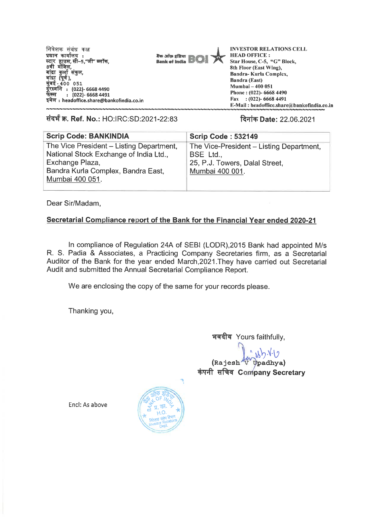**निवेशक संबंध कक्ष प्रधान कार्यालय**: स्टार हाउस, सा–5,"जा" ब्लाक,<br>8वी मजिलू, बांद्रा कुर्ला संकुल,<br>बांदा *(*एर्ड) बांद्रा (पूर्व ),<br>गंग्रुट **मुंबई - 400 051 (022)- 6668 4490 : (022)- 6668 4491 T47 : headoffice.share@bankofindia.co.in** 



**INVESTOR RELATIONS CELL HEAD OFFICE : Star House, C-5, "G" Block, 8th Floor (East Wing), Bandra- Kurla Complex, Bandra (East) Mumbai — 400 051 Phone : (022)- 6668 4490 Fax : (022)- 6668 4491**   $E-Mail: headoffice.shape@bankofindia.co.in$ 

**tiq W. Ref. No.:** HO:IRC:SD:2021-22:83 **Rifler,Date:** 22.06.2021

| <b>Scrip Code: BANKINDIA</b>                                                                                                                                   | <b>Scrip Code: 532149</b>                                                                                  |
|----------------------------------------------------------------------------------------------------------------------------------------------------------------|------------------------------------------------------------------------------------------------------------|
| The Vice President - Listing Department,<br>National Stock Exchange of India Ltd.,<br>Exchange Plaza,<br>Bandra Kurla Complex, Bandra East,<br>Mumbai 400 051. | The Vice-President - Listing Department,<br>BSE Ltd.,<br>25, P.J. Towers, Dalal Street,<br>Mumbai 400 001. |
|                                                                                                                                                                |                                                                                                            |

Dear Sir/Madam,

## **Secretarial Compliance report of the Bank for the Financial Year ended 2020-21**

In compliance of Regulation 24A of SEBI (LODR),2015 Bank had appointed M/s R. S. Padia & Associates, a Practicing Company Secretaries firm, as a Secretarial Auditor of the Bank for the year ended March,2021.They have carried out Secretarial Audit and submitted the Annual Secretarial Compliance Report.

We are enclosing the copy of the same for your records please.

Thanking you,

भवदीय Yours faithfully.

**0.7 (Raj esh t)padhya) कंपनी सचिव Company Secretary** 

Encl: As above

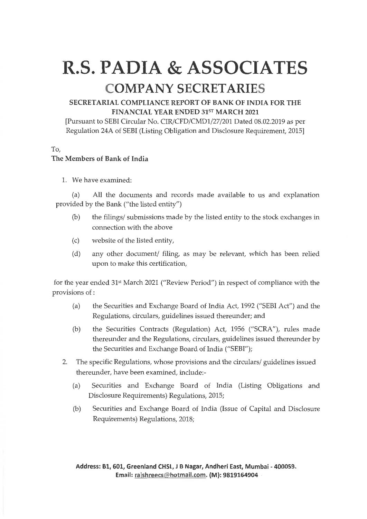## **R.S. PADIA & ASSOCIATES COMPANY SECRETARIES**

## **SECRETARIAL COMPLIANCE REPORT OF BANK OF INDIA FOR THE FINANCIAL YEAR ENDED 31ST MARCH 2021**

[Pursuant to SEBI Circular No. CIR/CFD/CMD1/27/201 Dated 08.02.2019 as per Regulation 24A of SEBI (Listing Obligation and Disclosure Requirement, 2015]

To,

## **The Members of Bank of India**

1. We have examined:

(a) All the documents and records made available to us and explanation provided by the Bank ("the listed entity")

- (b) the filings/ submissions made by the listed entity to the stock exchanges in connection with the above
- (c) website of the listed entity,
- (d) any other document/ filing, as may be relevant, which has been relied upon to make this certification,

for the year ended 31st March 2021 ("Review Period") **in** respect of compliance with the provisions of :

- (a) the Securities and Exchange Board of India Act, 1992 ("SEBI Act") and the Regulations, circulars, guidelines issued thereunder; and
- (b) the Securities Contracts (Regulation) Act, 1956 ("SCRA"), rules made thereunder and the Regulations, circulars, guidelines issued thereunder by the Securities and Exchange Board of India ("SEBI");
- 2. The specific Regulations, whose provisions and the circulars/ guidelines issued thereunder, have been examined, include:-
	- (a) Securities and Exchange Board of India (Listing Obligations and Disclosure Requirements) Regulations, 2015;
	- (b) Securities and Exchange Board of India (Issue of Capital and Disclosure Requirements) Regulations, 2018;

**Address: B1, 601, Greenland CM, J B Nagar, Andheri East, Mumbai - 400059. Email: ra,shreecs(Eii hotmail.com.(M): 9819164904**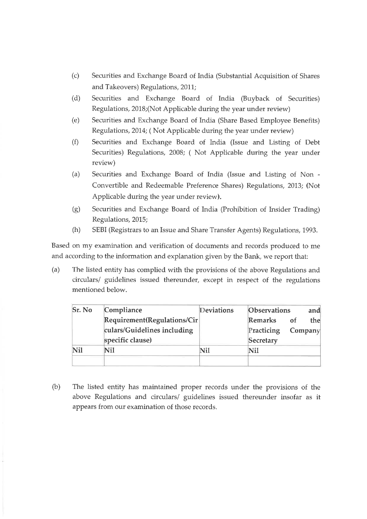- (c) Securities and Exchange Board of India (Substantial Acquisition of Shares and Takeovers) Regulations, 2011;
- (d) Securities and Exchange Board of India (Buyback of Securities) Regulations, 2018;(Not Applicable during the year under review)
- (e) Securities and Exchange Board of India (Share Based Employee Benefits) Regulations, 2014; ( Not Applicable during the year under review)
- (f) Securities and Exchange Board of India (Issue and Listing of Debt Securities) Regulations, 2008; ( Not Applicable during the year under review)
- (a) Securities and Exchange Board of India (Issue and Listing of Non Convertible and Redeemable Preference Shares) Regulations, 2013; (Not Applicable during the year under review).
- (g) Securities and Exchange Board of India (Prohibition of Insider Trading) Regulations, 2015;
- (h) SEBI (Registrars to an Issue and Share Transfer Agents) Regulations, 1993.

Based on my examination and verification of documents and records produced to me and according to the information and explanation given by the Bank, we report that:

(a) The listed entity has complied with the provisions of the above Regulations and circulars/ guidelines issued thereunder, except in respect of the regulations mentioned below.

| Sr. No | Compliance                  | Deviations | <b>Observations</b> |         | and |
|--------|-----------------------------|------------|---------------------|---------|-----|
|        | Requirement(Regulations/Cir |            | Remarks             | 0f      | the |
|        | culars/Guidelines including |            | Practicing          | Company |     |
|        | specific clause)            |            | Secretary           |         |     |
| Nil    | Nil                         | Nil        | Nil                 |         |     |
|        |                             |            |                     |         |     |

(b) The listed entity has maintained proper records under the provisions of the above Regulations and circulars/ guidelines issued thereunder insofar as it appears from our examination of those records.